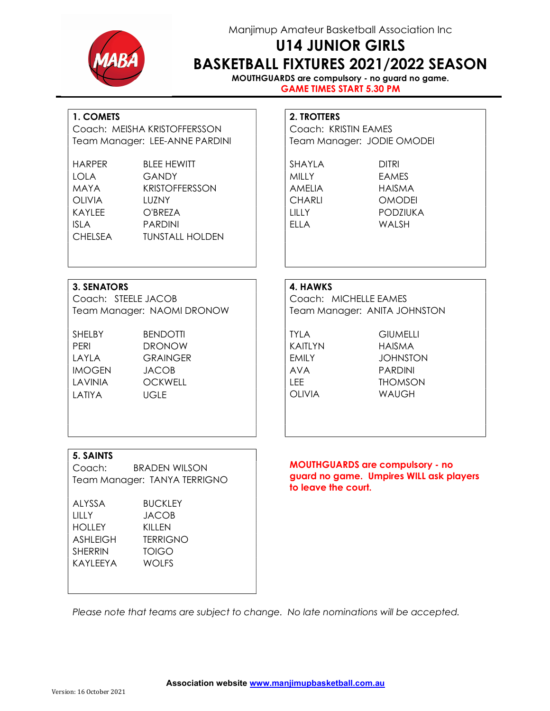Manjimup Amateur Basketball Association Inc U14 JUNIOR GIRLS



# BASKETBALL FIXTURES 2021/2022 SEASON

MOUTHGUARDS are compulsory - no guard no game. GAME TIMES START 5.30 PM

### 1. COMETS 2. TROTTERS

Coach: MEISHA KRISTOFFERSSON | Coach: KRISTIN EAMES Team Manager: LEE-ANNE PARDINI | Team Manager: JODIE OMODEI

| HARPER         | <b>BLEE HEWITT</b>     | SHAYLA      | <b>DITRI</b>   |
|----------------|------------------------|-------------|----------------|
| LOLA           | GANDY                  | MILLY       | <b>EAMES</b>   |
| MAYA           | <b>KRISTOFFERSSON</b>  | AMELIA      | <b>HAISMA</b>  |
| <b>OLIVIA</b>  | LUZNY                  | CHARLI      | <b>OMODEI</b>  |
| KAYLEE         | O'BREZA                | 1111Y       | <b>PODZIUK</b> |
| <b>ISLA</b>    | <b>PARDINI</b>         | <b>FIIA</b> | WAI SH         |
| <b>CHELSEA</b> | <b>TUNSTALL HOLDEN</b> |             |                |

CHARLI OMODEI LILLY PODZIUKA

### 3. SENATORS 4. HAWKS

Coach: STEELE JACOB | Coach: MICHELLE EAMES

SHELBY BENDOTTI I TYLA GIUMELLI PERI DRONOW KAITLYN HAISMA LAYLA GRAINGER EMILY JOHNSTON IMOGEN JACOB AVA PARDINI LAVINIA OCKWELL LEE THOMSON LATIYA UGLE | OLIVIA WAUGH

Team Manager: NAOMI DRONOW | | | Team Manager: ANITA JOHNSTON

### 5. SAINTS

Coach: BRADEN WILSON Team Manager: TANYA TERRIGNO

ALYSSA BUCKLEY LILLY JACOB HOLLEY KILLEN ASHLEIGH TERRIGNO SHERRIN TOIGO KAYLEEYA WOLFS

### MOUTHGUARDS are compulsory - no guard no game. Umpires WILL ask players to leave the court.

Please note that teams are subject to change. No late nominations will be accepted.